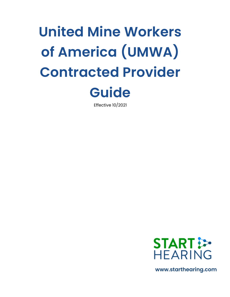# **United Mine Workers of America (UMWA) Contracted Provider**



Effective 10/2021



**www.starthearing.com**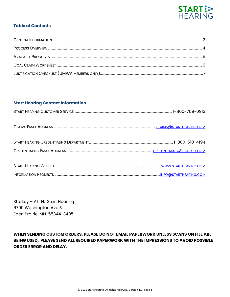

# **Table of Contents**

# **Start Hearing Contact Information**

Starkey – ATTN: Start Hearing 6700 Washington Ave S Eden Prairie, MN 55344-3405

**WHEN SENDING CUSTOM ORDERS, PLEASE DO NOT EMAIL PAPERWORK UNLESS SCANS ON FILE ARE BEING USED. PLEASE SEND ALL REQUIRED PAPERWORK WITH THE IMPRESSIONS TO AVOID POSSIBLE ORDER ERROR AND DELAY.**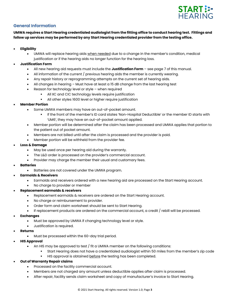

# **General Information**

**UMWA requires a Start Hearing credentialed audiologist from the fitting office to conduct hearing test. Fittings and follow up services may be performed by any Start Hearing credentialed provider from the testing office.**

- **Eligibility**
	- UMWA will replace hearing aids when needed due to a change in the member's condition, medical justification or if the hearing aids no longer function for the hearing loss.
- **Justification Form**
	- All new hearing aid requests must include the **Justification Form** see page 7 of this manual.
	- All information of the current / previous hearing aids the member is currently wearing.
	- Any repair history or reprogramming attempts on the current set of hearing aids.
	- All changes in hearing Must have at least a 15 dB change from the last hearing test
	- Reason for technology level or style  $-$  when required
		- All IIC and CIC technology levels require justification
		- All other styles 1600 level or higher require justification
- **Member Portion**
	- Some UMWA members may have an out-of-pocket amount.
		- If the front of the member's ID card states 'Non-Hospital Deductible' or the member ID starts with 'UM6', they may have an out-of-pocket amount applied.
	- Member portion will be determined after the claim has been processed and UMWA applies that portion to the patient out of pocket amount.
	- Members are not billed until after the claim is processed and the provider is paid.
	- Member portion will be withheld from the provider fee.
- **Loss & Damage**
	- May be used once per hearing aid during the warranty.
	- The L&D order is processed on the provider's commercial account.
	- Provider may charge the member their usual and customary fees.
- **Batteries**
	- Batteries are not covered under the UMWA program.
- **Earmolds & Receivers**
	- Earmolds and receivers ordered with a new hearing aid are processed on the Start Hearing account.
	- No charge to provider or member

### • **Replacement earmolds & receivers**

- Replacement earmolds & receivers are ordered on the Start Hearing account.
- No charge or reimbursement to provider.
- Order form and claim worksheet should be sent to Start Hearing.
- If replacement products are ordered on the commercial account, a credit / rebill will be processed.

### • **Exchanges**

- Must be approved by UMWA if changing technology level or style.
- Justification is required.
- **Returns**
	- Must be processed within the 60-day trial period.
- **HIS Approval**
	- An HIS may be approved to test / fit a UMWA member on the following conditions:
		- Start Hearing does not have a credentialed audiologist within 50 miles from the member's zip code
		- **EXECT** HIS approval is obtained before the testing has been completed.

### • **Out of Warranty Repair claims**

- Processed on the facility commercial account.
- Members are not charged any amount unless deductible applies after claim is processed.
- After repair, facility sends claim worksheet and copy of manufacturer's invoice to Start Hearing.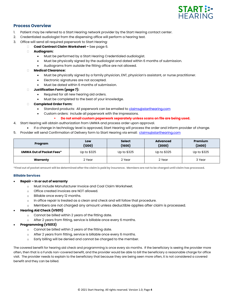

## **Process Overview**

- 1. Patient may be referred to a Start Hearing network provider by the Start Hearing contact center.
- 2. Credentialed audiologist from the dispensing office will perform a hearing test.
- 3. Office will send all required paperwork to Start Hearing:
	- **Coal Contract Claim Worksheet –** See page 6.
		- **Audiogram:**
			- Must be performed by a Start Hearing Credentialed audiologist.
			- Must be physically signed by the audiologist and dated within 6 months of submission.
			- Audiograms from outside the fitting office are not allowed.
		- **Medical Clearance:**
			- Must be physically signed by a family physician, ENT, physician's assistant, or nurse practitioner.
			- Electronic signatures are not accepted.
			- Must be dated within 6 months of submission.
		- **Justification Form (page 7):**
			- Required for all new hearing aid orders.
			- Must be completed to the best of your knowledge.
		- **Completed Order Form:**
			- Standard products: All paperwork can be emailed t[o claims@starthearing.com](mailto:claims@starthearing.com)
			- Custom orders: include all paperwork with the impressions.
				- **Do not email custom paperwork separately unless scans on file are being used.**
- 4. Start Hearing will obtain authorization from UMWA and process order upon approval.
- If a change in technology level is approved, Start Hearing will process the order and inform provider of change.
- 5. Provider will send Confirmation of Delivery form to Start Hearing via email: [claims@starthearing.com](mailto:claims@starthearing.com)

| Program                         | Low<br>(1200) | <b>Select</b><br>(1600) | <b>Advanced</b><br>(2000) | Premium<br>(2400) |  |
|---------------------------------|---------------|-------------------------|---------------------------|-------------------|--|
| <b>UMWA Out of Pocket Fees*</b> | Up to \$325   | Up to \$325             | Up to \$325               | Up to \$325       |  |
| Warranty                        | 2 Year        | 2 Year                  | 2 Year                    | 3 Year            |  |

**\*Final out of pocket amount will be determined after the claim is paid by insurance. Members are not to be charged until claim has processed.**

#### **Billable Services**

- **Repair – In or out of warranty**
	- o Must include Manufacturer Invoice and Coal Claim Worksheet.
	- o Office created invoices are NOT allowed.
	- o Billable once every 12 months.
	- $\circ$  In office repair is treated as a clean and check and will follow that procedure.
	- o Members are not charged any amount unless deductible applies after claim is processed.

#### • **Hearing Aid Check (V5011)**

- o Cannot be billed within 2 years of the fitting date.
- o After 2 years from fitting, service is billable once every 6 months.
- **Programming (V5013)**
	- o Cannot be billed within 2 years of the fitting date.
	- o After 2 years from fitting, service is billable once every 6 months.
	- o Early billing will be denied and cannot be charged to the member.

The covered benefit for hearing aid check and programming is once every six months. If the beneficiary is seeing the provider more often, then that is a Funds non-covered benefit, and the provider would be able to bill the beneficiary a reasonable charge for office visit. The provider needs to explain to the beneficiary that because they are being seen more often, it is not considered a covered benefit and they can be billed.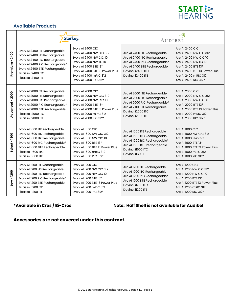

# **Available Products**

|                                   |                                                                                                                                                                                                                  | <b>Starkey</b>                                                                                                                                                                                                      | <b>AUDIBEL</b>                                                                                                                                                          |                                                                                                                                                                                                            |  |
|-----------------------------------|------------------------------------------------------------------------------------------------------------------------------------------------------------------------------------------------------------------|---------------------------------------------------------------------------------------------------------------------------------------------------------------------------------------------------------------------|-------------------------------------------------------------------------------------------------------------------------------------------------------------------------|------------------------------------------------------------------------------------------------------------------------------------------------------------------------------------------------------------|--|
| Premium - 2400                    | Evolv AI 2400 ITE Rechargeable<br>Evolv AI 2400 HS Rechargeable<br>Evolv AI 2400 ITC Rechargeable<br>Evolv AI 2400 RIC Rechargeable*<br>Evolv AI 2400 BTE Rechargeable<br>Picasso i2400 ITC<br>Picasso i2400 ITE | Evolv AI 2400 CIC<br>Evolv AI 2400 NW CIC 312<br>Evolv AI 2400 NW CIC 10<br>Evolv AI 2400 NW IIC 10<br>Evoly AI 2400 BTE 13*<br>Evoly AI 2400 BTE 13 Power Plus<br>Evoly AI 2400 mRIC 312<br>Evolv AI 2400 RIC 312* | Arc AI 2400 ITE Rechargeable<br>Arc Al 2400 ITC Rechargeable<br>Arc Al 2400 RIC Rechargeable*<br>Arc Al 2400 BTE Rechargeable<br>Davinci i2400 ITC<br>Davinci i2400 ITE | <b>Arc AI 2400 CIC</b><br>Arc AI 2400 NW CIC 312<br>Arc AI 2400 NW CIC 10<br>Arc AI 2400 NW IIC 10<br>Arc AI 2400 BTE 13*<br>Arc AI 2400 BTE 13 Power Plus<br>Arc AI 2400 mRIC 312<br>Arc AI 2400 RIC 312* |  |
| 2000<br>Advanced-                 | Evolv AI 2000 ITE Rechargeable<br>Evolv AI 2000 HS Rechargeable<br>Evolv AI 2000 ITC Rechargeable<br>Evolv AI 2000 RIC Rechargeable*<br>Evolv AI 2000 BTE Rechargeable<br>Picasso i2000 ITC<br>Picasso i2000 ITE | Evolv AI 2000 CIC<br>Evolv AI 2000 NW CIC 312<br>Evolv AI 2000 NW CIC 10<br>Evolv AI 2000 BTE 13*<br>Evoly AI 2000 BTE 13 Power Plus<br>Evolv AI 2000 mRIC 312<br>Evolv AI 2000 RIC 312*                            | Arc AI 2000 ITE Rechargeable<br>Arc AI 2000 ITC Rechargeable<br>Arc Al 2000 RIC Rechargeable*<br>Arc AI 2.00 BTE Rechargeable<br>Davinci i2000 ITC<br>Davinci i2000 ITE | <b>Arc AI 2000 CIC</b><br>Arc AI 2000 NW CIC 312<br>Arc AI 2000 NW CIC 10<br>Arc AI 2000 BTE 13*<br>Arc AI 2000 BTE 13 Power Plus<br>Arc AI 2000 mRIC 312<br>Arc AI 2000 RIC 312*                          |  |
| Select-1600                       | Evolv AI 1600 ITE Rechargeable<br>Evolv AI 1600 HS Rechargeable<br>Evolv AI 1600 ITC Rechargeable<br>Evolv AI 1600 RIC Rechargeable*<br>Evolv AI 1600 BTE Rechargeable<br>Picasso i1600 ITC<br>Picasso i1600 ITE | Evolv AI 1600 CIC<br>Evoly AI 1600 NW CIC 312<br><b>Evolv AI 1600 NW CIC 10</b><br>Evolv AI 1600 BTE 13*<br>Evoly AI 1600 BTE 13 Power Plus<br>Evolv AI 1600 mRIC 312<br>Evolv AI 1600 RIC 312*                     | Arc AI 1600 ITE Rechargeable<br>Arc Al 1600 ITC Rechargeable<br>Arc AI 1600 RIC Rechargeable*<br>Arc AI 1600 BTE Rechargeable<br>Davinci i1600 ITC<br>Davinci i1600 ITE | Arc AI 1600 CIC<br>Arc AI 1600 NW CIC 312<br>Arc AI 1600 NW CIC 10<br>Arc AI 1600 BTE 13*<br>Arc AI 1600 BTE 13 Power Plus<br>Arc AI 1600 mRIC 312<br>Arc AI 1600 RIC 312*                                 |  |
| 1200<br>$\mathbf{I}$<br><b>No</b> | Evolv AI 1200 ITE Rechargeable<br>Evolv AI 1200 HS Rechargeable<br>Evolv AI 1200 ITC Rechargeable<br>Evolv AI 1200 RIC Rechargeable*<br>Evolv AI 1200 BTE Rechargeable<br>Picasso il200 ITC<br>Picasso i1200 ITE | Evolv AI 1200 CIC<br>Evoly AI 1200 NW CIC 312<br><b>Evolv AI 1200 NW CIC 10</b><br>Evoly AI 1200 BTE 13*<br>Evoly AI 1200 BTE 13 Power Plus<br>Evoly AI 1200 mRIC 312<br>Evolv AI 1200 RIC 312*                     | Arc AI 1200 ITE Rechargeable<br>Arc AI 1200 ITC Rechargeable<br>Arc Al 1200 RIC Rechargeable*<br>Arc AI 1200 BTE Rechargeable<br>Davinci il200 ITC<br>Davinci il200 ITE | Arc AI 1200 CIC<br>Arc AI 1200 NW CIC 312<br>Arc AI 1200 NW CIC 10<br>Arc AI 1200 BTE 13*<br>Arc AI 1200 BTE 13 Power Plus<br>Arc AI 1200 mRIC 312<br>Arc AI 1200 RIC 312*                                 |  |

**\*Available in Cros / Bi-Cros Note: Half Shell is not available for Audibel**

**Accessories are not covered under this contract.**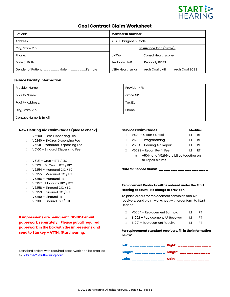

# **Coal Contract Claim Worksheet**

| Patient:                                              | <b>Member ID Number:</b> |                                 |  |
|-------------------------------------------------------|--------------------------|---------------------------------|--|
| Address:                                              | ICD-10 Diagnosis Code    |                                 |  |
| <u> Insurance Plan (circle):</u><br>City, State, Zip: |                          |                                 |  |
| Phone:                                                | <b>UMWA</b>              | <b>Consol Healthscope</b>       |  |
| Date of Birth:                                        | Peabody UMR              | Peabody BCBS                    |  |
| Gender of Patient:<br>Male<br>Female                  | <b>VEBA Healthsmart</b>  | Arch Coal UMR<br>Arch Coal BCBS |  |

#### **Service Facility Information**

| <b>Provider Name:</b>    | Provider NPI: |
|--------------------------|---------------|
| Facility Name:           | Office NPI:   |
| <b>Facility Address:</b> | Tax ID:       |
| City, State, Zip         | Phone:        |
| Contact Name & Email:    |               |

#### **New Hearing Aid Claim Codes (please check)**

- □ V5200 Cros Dispensing Fee
- V5240 Bi-Cros Dispensing Fee
- V5241 Monaural Dispensing Fee
- □ V5160 Binaural Dispensing Fee
- $\Box$  V5181 Cros BTE / RIC
- $\Box$  V5221 Bi-Cros BTE / RIC
- $\Box$  V5254 Monaural CIC / IIC
- $\Box$  V5255 Monaural ITC / HS
- V5256 Monaural ITE
- □ V5257 Monaural RIC / BTE
- $\Box$  V5258 Binaural CIC / IIC
- $\Box$  V5259 Binaural ITC / HS
- V5260 Binaural ITE
- $\Box$  V5261 Binaural RIC / BTE

**If impressions are being sent, DO NOT email paperwork separately. Please put all required paperwork in the box with the impressions and send to Starkey – ATTN: Start hearing.**

Standard orders with required paperwork can be emailed to: [claims@starthearing.com](mailto:claims@starthearing.com)

#### **Service Claim Codes Modifier**

| $\Box$ | $V5011 - Clean / Check$                | ΙT | RT |
|--------|----------------------------------------|----|----|
|        |                                        |    |    |
| $\Box$ | V5013 - Programming                    | ΙT | RT |
| $\Box$ | V5014 - Hearing Aid Repair             | ΙT | RT |
| $\Box$ | V5299 - Repair Re-fit Fee              | ΙT | RT |
|        | V5014 and V5299 are billed together on |    |    |

V5014 and V5299 are billed together on all repair claims

*Date for Service Claim: \_\_\_\_\_\_\_\_\_\_\_\_\_\_\_\_\_\_\_\_\_*

#### **Replacement Products will be ordered under the Start Hearing account. No charge to provider.**

To place orders for replacement earmolds and AP receivers, send claim worksheet with order form to Start Hearing.

- □ V5264 Replacement Earmold LT RT
- □ S1002 Replacement AP Receiver LT RT
- □ S1001 Replacement Receiver LT RT

**For replacement standard receivers, fill in the information below:**

| Left: _______________ Right: _____________ |  |
|--------------------------------------------|--|
| Length: _____________ Length: ____________ |  |
| Gain: ______________ Gain: ____________    |  |